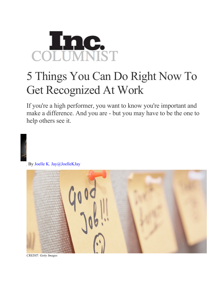

## 5 Things You Can Do Right Now To Get Recognized At Work

If you're a high performer, you want to know you're important and make a difference. And you are - but you may have to be the one to help others see it.

By Joelle K. Jay@JoelleKJay



*CREDIT: Getty Images*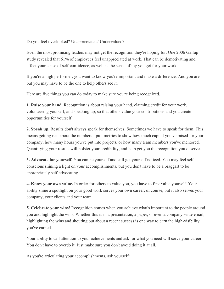Do you feel overlooked? Unappreciated? Undervalued?

Even the most promising leaders may not get the recognition they're hoping for. One 2006 Gallup study revealed that 61% of employees feel unappreciated at work. That can be demotivating and affect your sense of self-confidence, as well as the sense of joy you get for your work.

If you're a high performer, you want to know you're important and make a difference. And you are but you may have to be the one to help others see it.

Here are five things you can do today to make sure you're being recognized.

**1. Raise your hand.** Recognition is about raising your hand, claiming credit for your work, volunteering yourself, and speaking up, so that others value your contributions and you create opportunities for yourself.

**2. Speak up.** Results don't always speak for themselves. Sometimes we have to speak for them. This means getting real about the numbers - pull metrics to show how much capital you've raised for your company, how many hours you've put into projects, or how many team members you've mentored. Quantifying your results will bolster your credibility, and help get you the recognition you deserve.

**3. Advocate for yourself.** You can be yourself and still get yourself noticed. You may feel selfconscious shining a light on your accomplishments, but you don't have to be a braggart to be appropriately self-advocating.

**4. Know your own value.** In order for others to value you, you have to first value yourself. Your ability shine a spotlight on your good work serves your own career, of course, but it also serves your company, your clients and your team.

**5. Celebrate your wins!** Recognition comes when you achieve what's important to the people around you and highlight the wins. Whether this is in a presentation, a paper, or even a company-wide email, highlighting the wins and shouting out about a recent success is one way to earn the high-visibility you've earned.

Your ability to call attention to your achievements and ask for what you need will serve your career. You don't have to overdo it. Just make sure you don't avoid doing it at all.

As you're articulating your accomplishments, ask yourself: